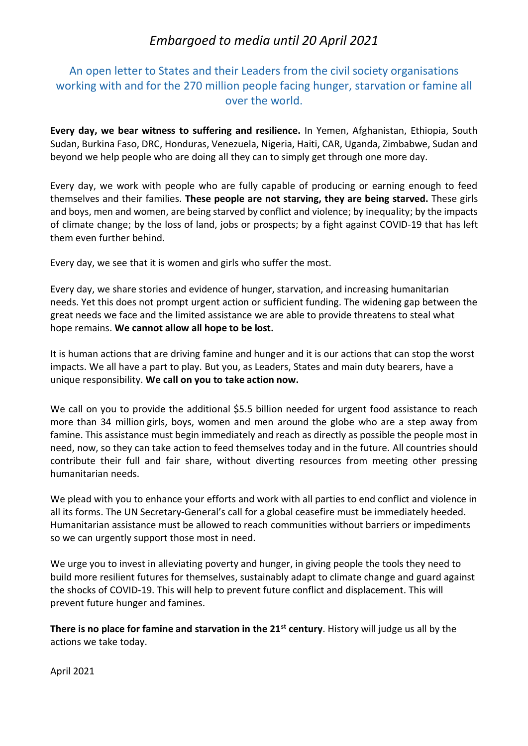## *Embargoed to media until 20 April 2021*

## An open letter to States and their Leaders from the civil society organisations working with and for the 270 million people facing hunger, starvation or famine all over the world.

**Every day, we bear witness to suffering and resilience.** In Yemen, Afghanistan, Ethiopia, South Sudan, Burkina Faso, DRC, Honduras, Venezuela, Nigeria, Haiti, CAR, Uganda, Zimbabwe, Sudan and beyond we help people who are doing all they can to simply get through one more day.

Every day, we work with people who are fully capable of producing or earning enough to feed themselves and their families. **These people are not starving, they are being starved.** These girls and boys, men and women, are being starved by conflict and violence; by inequality; by the impacts of climate change; by the loss of land, jobs or prospects; by a fight against COVID-19 that has left them even further behind.

Every day, we see that it is women and girls who suffer the most.

Every day, we share stories and evidence of hunger, starvation, and increasing humanitarian needs. Yet this does not prompt urgent action or sufficient funding. The widening gap between the great needs we face and the limited assistance we are able to provide threatens to steal what hope remains. **We cannot allow all hope to be lost.**

It is human actions that are driving famine and hunger and it is our actions that can stop the worst impacts. We all have a part to play. But you, as Leaders, States and main duty bearers, have a unique responsibility. **We call on you to take action now.**

We call on you to provide the additional \$5.5 billion needed for urgent food assistance to reach more than 34 million girls, boys, women and men around the globe who are a step away from famine. This assistance must begin immediately and reach as directly as possible the people most in need, now, so they can take action to feed themselves today and in the future. All countries should contribute their full and fair share, without diverting resources from meeting other pressing humanitarian needs.

We plead with you to enhance your efforts and work with all parties to end conflict and violence in all its forms. The UN Secretary-General's call for a global ceasefire must be immediately heeded. Humanitarian assistance must be allowed to reach communities without barriers or impediments so we can urgently support those most in need.

We urge you to invest in alleviating poverty and hunger, in giving people the tools they need to build more resilient futures for themselves, sustainably adapt to climate change and guard against the shocks of COVID-19. This will help to prevent future conflict and displacement. This will prevent future hunger and famines.

**There is no place for famine and starvation in the 21st century**. History will judge us all by the actions we take today.

April 2021